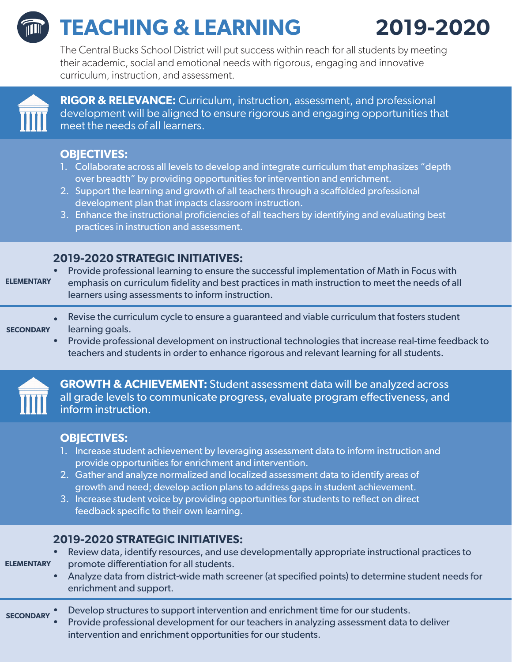# **TEACHING & LEARNING 2019-2020**

The Central Bucks School District will put success within reach for all students by meeting their academic, social and emotional needs with rigorous, engaging and innovative curriculum, instruction, and assessment.



**RIGOR & RELEVANCE:** Curriculum, instruction, assessment, and professional development will be aligned to ensure rigorous and engaging opportunities that meet the needs of all learners.

# **OBJECTIVES:**

- 1. Collaborate across all levels to develop and integrate curriculum that emphasizes "depth over breadth" by providing opportunities for intervention and enrichment.
- 2. Support the learning and growth of all teachers through a scaffolded professional development plan that impacts classroom instruction.
- 3. Enhance the instructional proficiencies of all teachers by identifying and evaluating best practices in instruction and assessment.

# **2019-2020 STRATEGIC INITIATIVES:**

- Provide professional learning to ensure the successful implementation of Math in Focus with emphasis on curriculum fidelity and best practices in math instruction to meet the needs of all learners using assessments to inform instruction. **ELEMENTARY**
- Revise the curriculum cycle to ensure a guaranteed and viable curriculum that fosters student learning goals. **SECONDARY**
	- Provide professional development on instructional technologies that increase real-time feedback to teachers and students in order to enhance rigorous and relevant learning for all students.



**GROWTH & ACHIEVEMENT:** Student assessment data will be analyzed across all grade levels to communicate progress, evaluate program effectiveness, and inform instruction.

# **OBJECTIVES:**

- 1. Increase student achievement by leveraging assessment data to inform instruction and provide opportunities for enrichment and intervention.
- 2. Gather and analyze normalized and localized assessment data to identify areas of growth and need; develop action plans to address gaps in student achievement.
- 3. Increase student voice by providing opportunities for students to reflect on direct feedback specific to their own learning.

# **2019-2020 STRATEGIC INITIATIVES:**

- Review data, identify resources, and use developmentally appropriate instructional practices to promote differentiation for all students. **ELEMENTARY**
	- Analyze data from district-wide math screener (at specified points) to determine student needs for enrichment and support.
- Develop structures to support intervention and enrichment time for our students. **SECONDARY**
	- Provide professional development for our teachers in analyzing assessment data to deliver intervention and enrichment opportunities for our students.